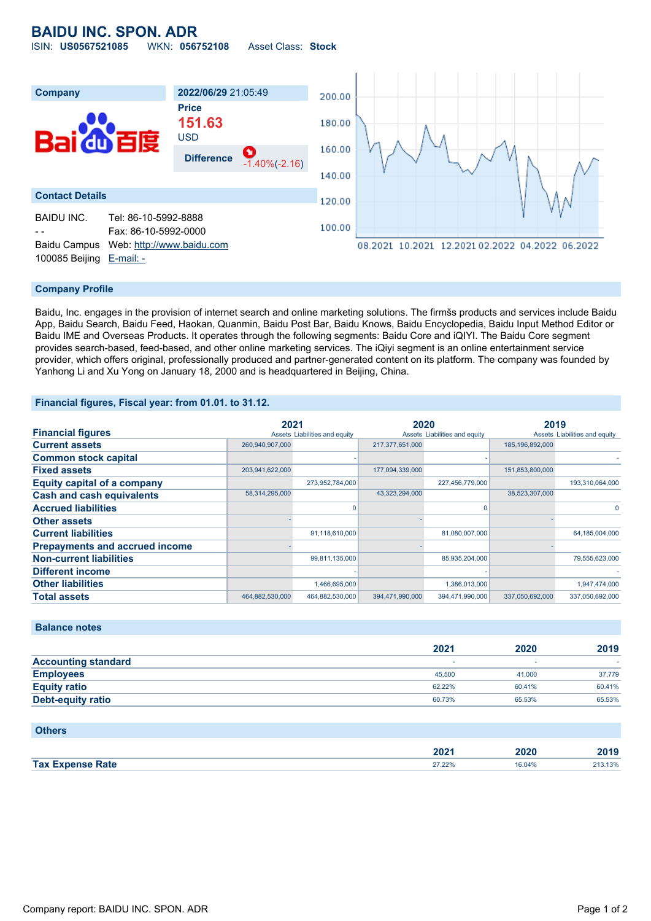## **BAIDU INC. SPON. ADR** ISIN: **US0567521085** WKN: **056752108** Asset Class: **Stock**



#### **Company Profile**

Baidu, Inc. engages in the provision of internet search and online marketing solutions. The firmšs products and services include Baidu App, Baidu Search, Baidu Feed, Haokan, Quanmin, Baidu Post Bar, Baidu Knows, Baidu Encyclopedia, Baidu Input Method Editor or Baidu IME and Overseas Products. It operates through the following segments: Baidu Core and iQIYI. The Baidu Core segment provides search-based, feed-based, and other online marketing services. The iQiyi segment is an online entertainment service provider, which offers original, professionally produced and partner-generated content on its platform. The company was founded by Yanhong Li and Xu Yong on January 18, 2000 and is headquartered in Beijing, China.

#### **Financial figures, Fiscal year: from 01.01. to 31.12.**

|                                       | 2021            |                               | 2020            |                               | 2019            |                               |
|---------------------------------------|-----------------|-------------------------------|-----------------|-------------------------------|-----------------|-------------------------------|
| <b>Financial figures</b>              |                 | Assets Liabilities and equity |                 | Assets Liabilities and equity |                 | Assets Liabilities and equity |
| <b>Current assets</b>                 | 260,940,907,000 |                               | 217,377,651,000 |                               | 185,196,892,000 |                               |
| <b>Common stock capital</b>           |                 |                               |                 |                               |                 |                               |
| <b>Fixed assets</b>                   | 203,941,622,000 |                               | 177,094,339,000 |                               | 151,853,800,000 |                               |
| <b>Equity capital of a company</b>    |                 | 273,952,784,000               |                 | 227,456,779,000               |                 | 193,310,064,000               |
| <b>Cash and cash equivalents</b>      | 58,314,295,000  |                               | 43,323,294,000  |                               | 38,523,307,000  |                               |
| <b>Accrued liabilities</b>            |                 |                               |                 |                               |                 |                               |
| <b>Other assets</b>                   |                 |                               |                 |                               |                 |                               |
| <b>Current liabilities</b>            |                 | 91,118,610,000                |                 | 81,080,007,000                |                 | 64,185,004,000                |
| <b>Prepayments and accrued income</b> |                 |                               |                 |                               |                 |                               |
| <b>Non-current liabilities</b>        |                 | 99,811,135,000                |                 | 85,935,204,000                |                 | 79,555,623,000                |
| <b>Different income</b>               |                 |                               |                 |                               |                 |                               |
| <b>Other liabilities</b>              |                 | 1,466,695,000                 |                 | 1,386,013,000                 |                 | 1,947,474,000                 |
| <b>Total assets</b>                   | 464.882.530.000 | 464,882,530,000               | 394,471,990,000 | 394,471,990,000               | 337,050,692,000 | 337.050.692.000               |

### **Balance notes**

|                            | 2021   | 2020   | 2019   |
|----------------------------|--------|--------|--------|
| <b>Accounting standard</b> |        |        |        |
| <b>Employees</b>           | 45,500 | 41.000 | 37,779 |
| <b>Equity ratio</b>        | 62.22% | 60.41% | 60.41% |
| <b>Debt-equity ratio</b>   | 60.73% | 65.53% | 65.53% |

#### **Others**

|                                                                           | מחמ<br>ZUZ L      | ZUZU   | 2019    |
|---------------------------------------------------------------------------|-------------------|--------|---------|
| <b>Expanse Rate</b><br>Tax F<br>$\sim$ $\sim$ $\sim$ $\sim$ $\sim$ $\sim$ | 27.220<br>41.4470 | 16.04% | 213.13% |